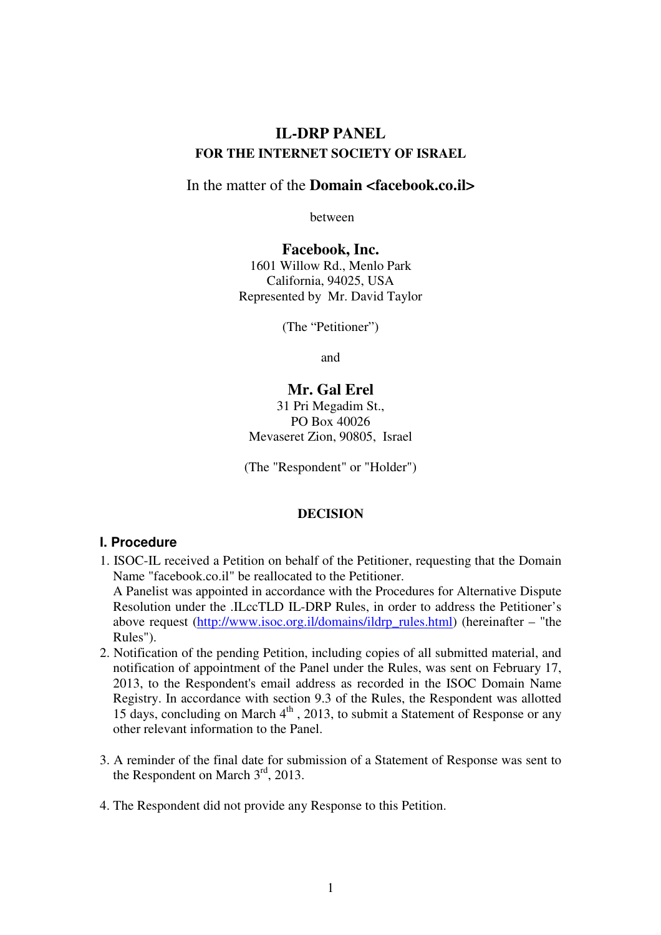# **IL-DRP PANEL FOR THE INTERNET SOCIETY OF ISRAEL**

### In the matter of the **Domain <facebook.co.il>**

between

**Facebook, Inc.** 1601 Willow Rd., Menlo Park California, 94025, USA Represented by Mr. David Taylor

(The "Petitioner")

and

### **Mr. Gal Erel**

31 Pri Megadim St., PO Box 40026 Mevaseret Zion, 90805, Israel

(The "Respondent" or "Holder")

#### **DECISION**

#### **I. Procedure**

- 1. ISOC-IL received a Petition on behalf of the Petitioner, requesting that the Domain Name "facebook.co.il" be reallocated to the Petitioner. A Panelist was appointed in accordance with the Procedures for Alternative Dispute Resolution under the .ILccTLD IL-DRP Rules, in order to address the Petitioner's above request (http://www.isoc.org.il/domains/ildrp\_rules.html) (hereinafter – "the
	- Rules").
- 2. Notification of the pending Petition, including copies of all submitted material, and notification of appointment of the Panel under the Rules, was sent on February 17, 2013, to the Respondent's email address as recorded in the ISOC Domain Name Registry. In accordance with section 9.3 of the Rules, the Respondent was allotted 15 days, concluding on March  $4<sup>th</sup>$ , 2013, to submit a Statement of Response or any other relevant information to the Panel.
- 3. A reminder of the final date for submission of a Statement of Response was sent to the Respondent on March  $3<sup>rd</sup>$ , 2013.
- 4. The Respondent did not provide any Response to this Petition.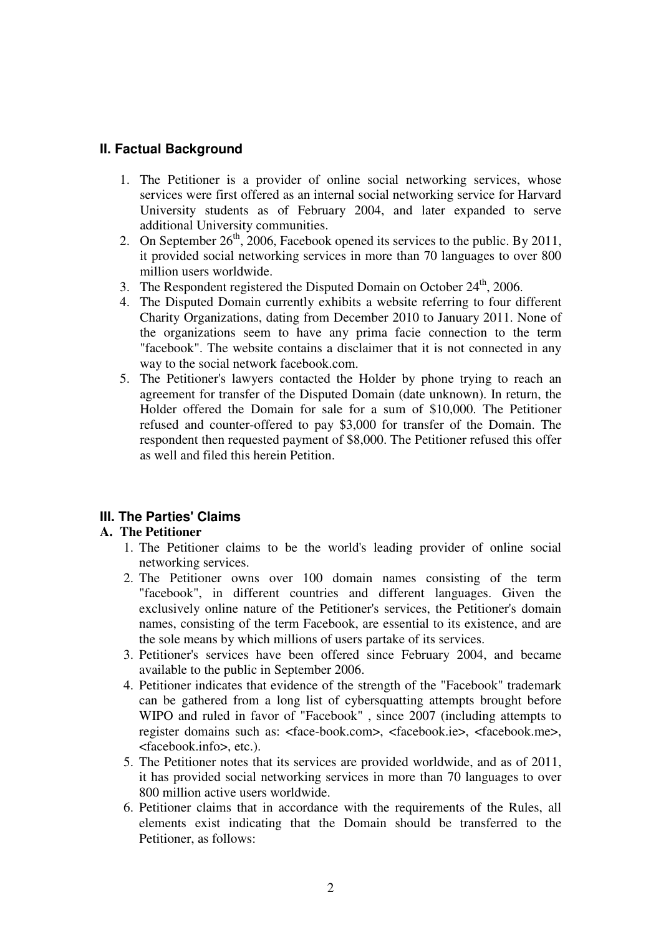## **II. Factual Background**

- 1. The Petitioner is a provider of online social networking services, whose services were first offered as an internal social networking service for Harvard University students as of February 2004, and later expanded to serve additional University communities.
- 2. On September  $26<sup>th</sup>$ , 2006, Facebook opened its services to the public. By 2011, it provided social networking services in more than 70 languages to over 800 million users worldwide.
- 3. The Respondent registered the Disputed Domain on October  $24<sup>th</sup>$ , 2006.
- 4. The Disputed Domain currently exhibits a website referring to four different Charity Organizations, dating from December 2010 to January 2011. None of the organizations seem to have any prima facie connection to the term "facebook". The website contains a disclaimer that it is not connected in any way to the social network facebook.com.
- 5. The Petitioner's lawyers contacted the Holder by phone trying to reach an agreement for transfer of the Disputed Domain (date unknown). In return, the Holder offered the Domain for sale for a sum of \$10,000. The Petitioner refused and counter-offered to pay \$3,000 for transfer of the Domain. The respondent then requested payment of \$8,000. The Petitioner refused this offer as well and filed this herein Petition.

## **III. The Parties' Claims**

## **A. The Petitioner**

- 1. The Petitioner claims to be the world's leading provider of online social networking services.
- 2. The Petitioner owns over 100 domain names consisting of the term "facebook", in different countries and different languages. Given the exclusively online nature of the Petitioner's services, the Petitioner's domain names, consisting of the term Facebook, are essential to its existence, and are the sole means by which millions of users partake of its services.
- 3. Petitioner's services have been offered since February 2004, and became available to the public in September 2006.
- 4. Petitioner indicates that evidence of the strength of the "Facebook" trademark can be gathered from a long list of cybersquatting attempts brought before WIPO and ruled in favor of "Facebook" , since 2007 (including attempts to register domains such as: <face-book.com>, <facebook.ie>, <facebook.me>, <facebook.info>, etc.).
- 5. The Petitioner notes that its services are provided worldwide, and as of 2011, it has provided social networking services in more than 70 languages to over 800 million active users worldwide.
- 6. Petitioner claims that in accordance with the requirements of the Rules, all elements exist indicating that the Domain should be transferred to the Petitioner, as follows: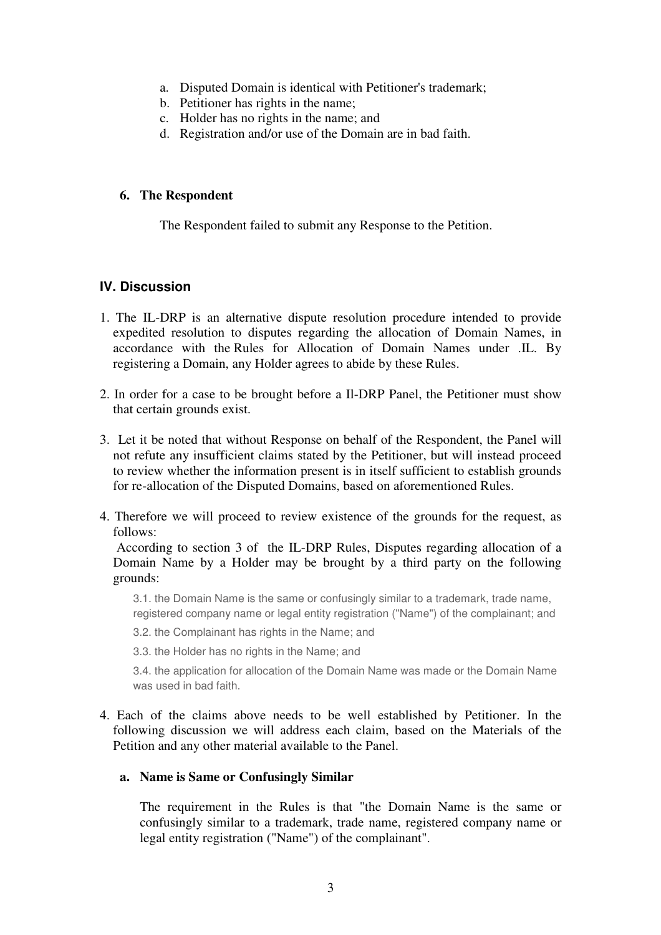- a. Disputed Domain is identical with Petitioner's trademark;
- b. Petitioner has rights in the name;
- c. Holder has no rights in the name; and
- d. Registration and/or use of the Domain are in bad faith.

### **6. The Respondent**

The Respondent failed to submit any Response to the Petition.

## **IV. Discussion**

- 1. The IL-DRP is an alternative dispute resolution procedure intended to provide expedited resolution to disputes regarding the allocation of Domain Names, in accordance with the Rules for Allocation of Domain Names under .IL. By registering a Domain, any Holder agrees to abide by these Rules.
- 2. In order for a case to be brought before a Il-DRP Panel, the Petitioner must show that certain grounds exist.
- 3. Let it be noted that without Response on behalf of the Respondent, the Panel will not refute any insufficient claims stated by the Petitioner, but will instead proceed to review whether the information present is in itself sufficient to establish grounds for re-allocation of the Disputed Domains, based on aforementioned Rules.
- 4. Therefore we will proceed to review existence of the grounds for the request, as follows:

 According to section 3 of the IL-DRP Rules, Disputes regarding allocation of a Domain Name by a Holder may be brought by a third party on the following grounds:

3.1. the Domain Name is the same or confusingly similar to a trademark, trade name, registered company name or legal entity registration ("Name") of the complainant; and

- 3.2. the Complainant has rights in the Name; and
- 3.3. the Holder has no rights in the Name; and

3.4. the application for allocation of the Domain Name was made or the Domain Name was used in bad faith.

4. Each of the claims above needs to be well established by Petitioner. In the following discussion we will address each claim, based on the Materials of the Petition and any other material available to the Panel.

#### **a. Name is Same or Confusingly Similar**

The requirement in the Rules is that "the Domain Name is the same or confusingly similar to a trademark, trade name, registered company name or legal entity registration ("Name") of the complainant".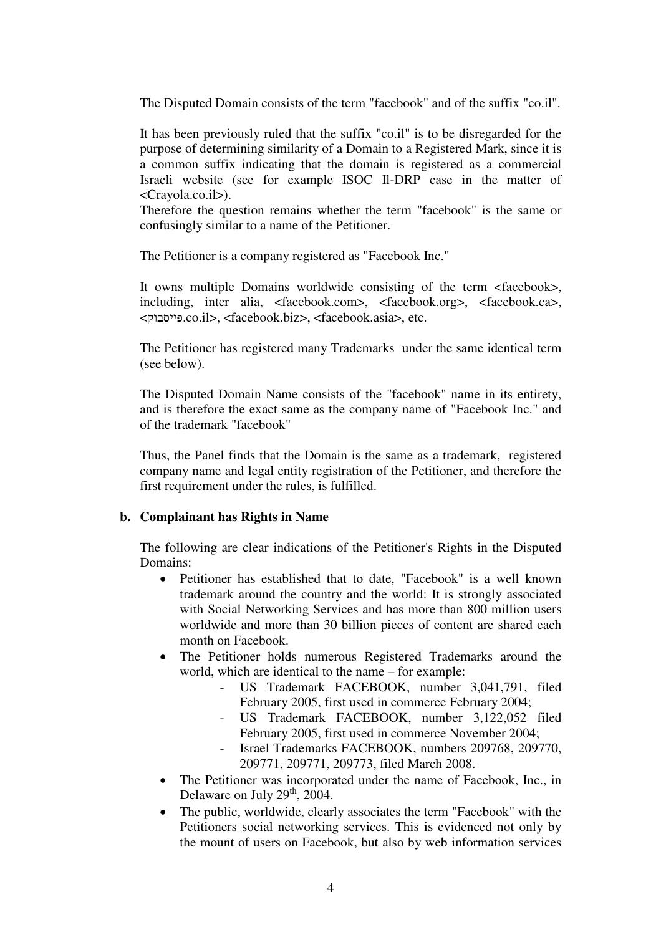The Disputed Domain consists of the term "facebook" and of the suffix "co.il".

It has been previously ruled that the suffix "co.il" is to be disregarded for the purpose of determining similarity of a Domain to a Registered Mark, since it is a common suffix indicating that the domain is registered as a commercial Israeli website (see for example ISOC Il-DRP case in the matter of <Crayola.co.il>).

Therefore the question remains whether the term "facebook" is the same or confusingly similar to a name of the Petitioner.

The Petitioner is a company registered as "Facebook Inc."

It owns multiple Domains worldwide consisting of the term <facebook>, including, inter alia, <facebook.com>, <facebook.org>, <facebook.ca>, <פייסבוק.co.il>, <facebook.biz>, <facebook.asia>, etc.

The Petitioner has registered many Trademarks under the same identical term (see below).

The Disputed Domain Name consists of the "facebook" name in its entirety, and is therefore the exact same as the company name of "Facebook Inc." and of the trademark "facebook"

Thus, the Panel finds that the Domain is the same as a trademark, registered company name and legal entity registration of the Petitioner, and therefore the first requirement under the rules, is fulfilled.

#### **b. Complainant has Rights in Name**

The following are clear indications of the Petitioner's Rights in the Disputed Domains:

- Petitioner has established that to date, "Facebook" is a well known trademark around the country and the world: It is strongly associated with Social Networking Services and has more than 800 million users worldwide and more than 30 billion pieces of content are shared each month on Facebook.
- The Petitioner holds numerous Registered Trademarks around the world, which are identical to the name – for example:
	- US Trademark FACEBOOK, number 3,041,791, filed February 2005, first used in commerce February 2004;
	- US Trademark FACEBOOK, number 3,122,052 filed February 2005, first used in commerce November 2004;
	- Israel Trademarks FACEBOOK, numbers 209768, 209770, 209771, 209771, 209773, filed March 2008.
- The Petitioner was incorporated under the name of Facebook, Inc., in Delaware on July 29<sup>th</sup>, 2004.
- The public, worldwide, clearly associates the term "Facebook" with the Petitioners social networking services. This is evidenced not only by the mount of users on Facebook, but also by web information services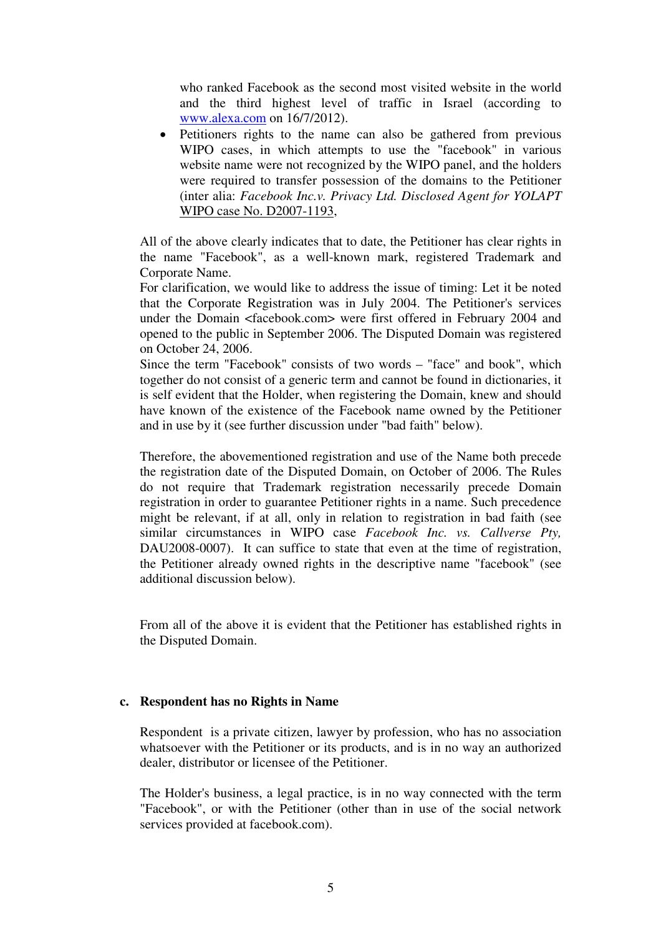who ranked Facebook as the second most visited website in the world and the third highest level of traffic in Israel (according to www.alexa.com on 16/7/2012).

• Petitioners rights to the name can also be gathered from previous WIPO cases, in which attempts to use the "facebook" in various website name were not recognized by the WIPO panel, and the holders were required to transfer possession of the domains to the Petitioner (inter alia: *Facebook Inc.v. Privacy Ltd. Disclosed Agent for YOLAPT* WIPO case No. D2007-1193,

All of the above clearly indicates that to date, the Petitioner has clear rights in the name "Facebook", as a well-known mark, registered Trademark and Corporate Name.

For clarification, we would like to address the issue of timing: Let it be noted that the Corporate Registration was in July 2004. The Petitioner's services under the Domain <facebook.com> were first offered in February 2004 and opened to the public in September 2006. The Disputed Domain was registered on October 24, 2006.

Since the term "Facebook" consists of two words – "face" and book", which together do not consist of a generic term and cannot be found in dictionaries, it is self evident that the Holder, when registering the Domain, knew and should have known of the existence of the Facebook name owned by the Petitioner and in use by it (see further discussion under "bad faith" below).

Therefore, the abovementioned registration and use of the Name both precede the registration date of the Disputed Domain, on October of 2006. The Rules do not require that Trademark registration necessarily precede Domain registration in order to guarantee Petitioner rights in a name. Such precedence might be relevant, if at all, only in relation to registration in bad faith (see similar circumstances in WIPO case *Facebook Inc. vs. Callverse Pty,* DAU2008-0007). It can suffice to state that even at the time of registration, the Petitioner already owned rights in the descriptive name "facebook" (see additional discussion below).

From all of the above it is evident that the Petitioner has established rights in the Disputed Domain.

#### **c. Respondent has no Rights in Name**

Respondent is a private citizen, lawyer by profession, who has no association whatsoever with the Petitioner or its products, and is in no way an authorized dealer, distributor or licensee of the Petitioner.

The Holder's business, a legal practice, is in no way connected with the term "Facebook", or with the Petitioner (other than in use of the social network services provided at facebook.com).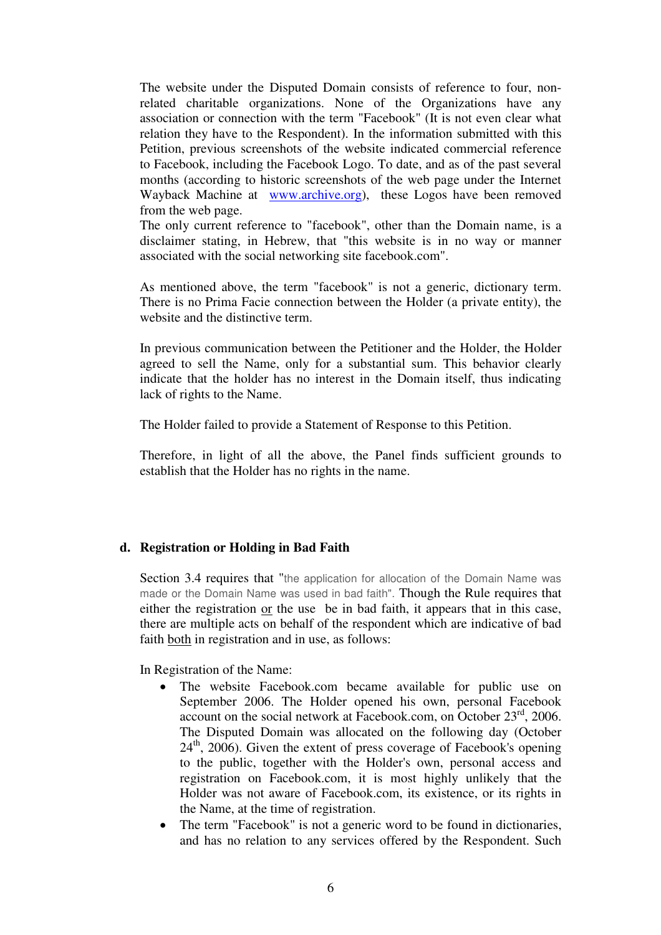The website under the Disputed Domain consists of reference to four, nonrelated charitable organizations. None of the Organizations have any association or connection with the term "Facebook" (It is not even clear what relation they have to the Respondent). In the information submitted with this Petition, previous screenshots of the website indicated commercial reference to Facebook, including the Facebook Logo. To date, and as of the past several months (according to historic screenshots of the web page under the Internet Wayback Machine at www.archive.org), these Logos have been removed from the web page.

The only current reference to "facebook", other than the Domain name, is a disclaimer stating, in Hebrew, that "this website is in no way or manner associated with the social networking site facebook.com".

As mentioned above, the term "facebook" is not a generic, dictionary term. There is no Prima Facie connection between the Holder (a private entity), the website and the distinctive term.

In previous communication between the Petitioner and the Holder, the Holder agreed to sell the Name, only for a substantial sum. This behavior clearly indicate that the holder has no interest in the Domain itself, thus indicating lack of rights to the Name.

The Holder failed to provide a Statement of Response to this Petition.

Therefore, in light of all the above, the Panel finds sufficient grounds to establish that the Holder has no rights in the name.

#### **d. Registration or Holding in Bad Faith**

Section 3.4 requires that "the application for allocation of the Domain Name was made or the Domain Name was used in bad faith". Though the Rule requires that either the registration or the use be in bad faith, it appears that in this case, there are multiple acts on behalf of the respondent which are indicative of bad faith both in registration and in use, as follows:

In Registration of the Name:

- The website Facebook.com became available for public use on September 2006. The Holder opened his own, personal Facebook account on the social network at Facebook.com, on October  $23<sup>rd</sup>$ , 2006. The Disputed Domain was allocated on the following day (October  $24<sup>th</sup>$ , 2006). Given the extent of press coverage of Facebook's opening to the public, together with the Holder's own, personal access and registration on Facebook.com, it is most highly unlikely that the Holder was not aware of Facebook.com, its existence, or its rights in the Name, at the time of registration.
- The term "Facebook" is not a generic word to be found in dictionaries, and has no relation to any services offered by the Respondent. Such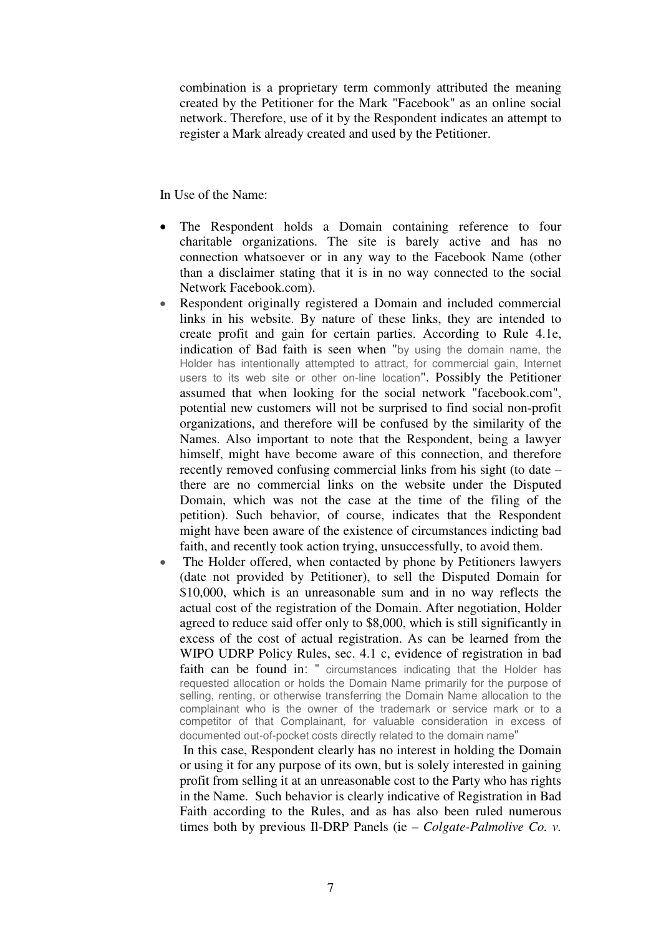combination is a proprietary term commonly attributed the meaning created by the Petitioner for the Mark "Facebook" as an online social network. Therefore, use of it by the Respondent indicates an attempt to register a Mark already created and used by the Petitioner.

In Use of the Name:

- The Respondent holds a Domain containing reference to four charitable organizations. The site is barely active and has no connection whatsoever or in any way to the Facebook Name (other than a disclaimer stating that it is in no way connected to the social Network Facebook.com).
- Respondent originally registered a Domain and included commercial links in his website. By nature of these links, they are intended to create profit and gain for certain parties. According to Rule 4.1e, indication of Bad faith is seen when "by using the domain name, the Holder has intentionally attempted to attract, for commercial gain, Internet users to its web site or other on-line location". Possibly the Petitioner assumed that when looking for the social network "facebook.com", potential new customers will not be surprised to find social non-profit organizations, and therefore will be confused by the similarity of the Names. Also important to note that the Respondent, being a lawyer himself, might have become aware of this connection, and therefore recently removed confusing commercial links from his sight (to date – there are no commercial links on the website under the Disputed Domain, which was not the case at the time of the filing of the petition). Such behavior, of course, indicates that the Respondent might have been aware of the existence of circumstances indicting bad faith, and recently took action trying, unsuccessfully, to avoid them.
- The Holder offered, when contacted by phone by Petitioners lawyers (date not provided by Petitioner), to sell the Disputed Domain for \$10,000, which is an unreasonable sum and in no way reflects the actual cost of the registration of the Domain. After negotiation, Holder agreed to reduce said offer only to \$8,000, which is still significantly in excess of the cost of actual registration. As can be learned from the WIPO UDRP Policy Rules, sec. 4.1 c, evidence of registration in bad faith can be found in: " circumstances indicating that the Holder has requested allocation or holds the Domain Name primarily for the purpose of selling, renting, or otherwise transferring the Domain Name allocation to the complainant who is the owner of the trademark or service mark or to a competitor of that Complainant, for valuable consideration in excess of documented out-of-pocket costs directly related to the domain name"

 In this case, Respondent clearly has no interest in holding the Domain or using it for any purpose of its own, but is solely interested in gaining profit from selling it at an unreasonable cost to the Party who has rights in the Name. Such behavior is clearly indicative of Registration in Bad Faith according to the Rules, and as has also been ruled numerous times both by previous Il-DRP Panels (ie – *Colgate-Palmolive Co. v.*